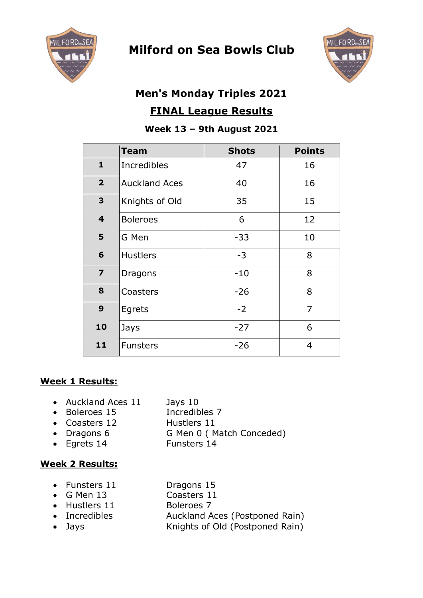

# **Milford on Sea Bowls Club**



# **Men's Monday Triples 2021 FINAL League Results**

## **Week 13 – 9th August 2021**

|                | <b>Team</b>          | <b>Shots</b> | <b>Points</b>  |
|----------------|----------------------|--------------|----------------|
| $\mathbf{1}$   | <b>Incredibles</b>   | 47           | 16             |
| $\overline{2}$ | <b>Auckland Aces</b> | 40           | 16             |
| 3              | Knights of Old       | 35           | 15             |
| 4              | <b>Boleroes</b>      | 6            | 12             |
| 5              | G Men                | $-33$        | 10             |
| 6              | <b>Hustlers</b>      | $-3$         | 8              |
| $\overline{z}$ | <b>Dragons</b>       | $-10$        | 8              |
| 8              | Coasters             | $-26$        | 8              |
| 9              | Egrets               | $-2$         | $\overline{7}$ |
| 10             | Jays                 | $-27$        | 6              |
| 11             | <b>Funsters</b>      | $-26$        | 4              |

# **Week 1 Results:**

- Auckland Aces 11 Jays 10
- Boleroes 15 Incredibles 7
- Coasters 12 Hustlers 11
	-
- Dragons 6 G Men 0 (Match Conceded)
- Egrets 14 Funsters 14

## **Week 2 Results:**

- Funsters 11 Dragons 15
- G Men 13 Coasters 11
- Hustlers 11 Boleroes 7
- Incredibles Auckland Aces (Postponed Rain)
- Jays **Knights of Old (Postponed Rain)**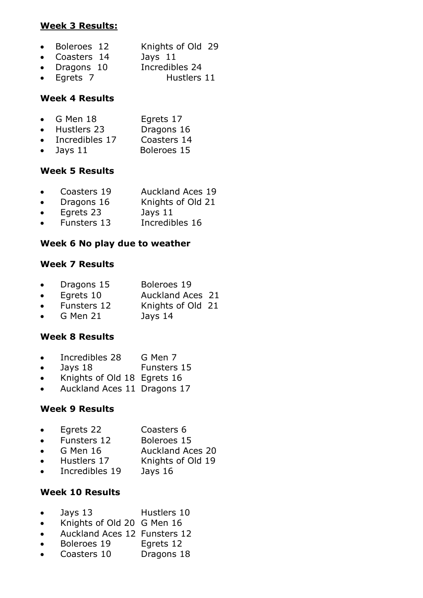#### **Week 3 Results:**

|  | Boleroes 12 |  | Knights of Old 29 |  |  |
|--|-------------|--|-------------------|--|--|
|--|-------------|--|-------------------|--|--|

- Coasters 14 Jays 11
- Dragons 10 Incredibles 24
- Egrets 7 Hustlers 11

#### **Week 4 Results**

| $\bullet$ | G Men 18       | Egrets 17   |
|-----------|----------------|-------------|
|           | Hustlers 23    | Dragons 16  |
|           | Incredibles 17 | Coasters 14 |
|           | Jays 11        | Boleroes 15 |

#### **Week 5 Results**

- Coasters 19 Auckland Aces 19
- Dragons 16 Knights of Old 21
- Egrets 23 Jays 11
- Funsters 13 Incredibles 16

#### **Week 6 No play due to weather**

#### **Week 7 Results**

|  | Dragons 15 | Boleroes 19 |
|--|------------|-------------|
|--|------------|-------------|

- Egrets 10 Auckland Aces 21
- Funsters 12 Knights of Old 21
- G Men 21 Jays 14

## **Week 8 Results**

- Incredibles 28 G Men 7
- Jays 18 Funsters 15
- Knights of Old 18 Egrets 16
- Auckland Aces 11 Dragons 17

#### **Week 9 Results**

- Egrets 22 Coasters 6
- Funsters 12 Boleroes 15
- G Men 16 Auckland Aces 20
- Hustlers 17 Knights of Old 19
- Incredibles 19 Jays 16

#### **Week 10 Results**

- Jays 13 Hustlers 10
- Knights of Old 20 G Men 16
- Auckland Aces 12 Funsters 12
- Boleroes 19 Egrets 12
- Coasters 10 Dragons 18